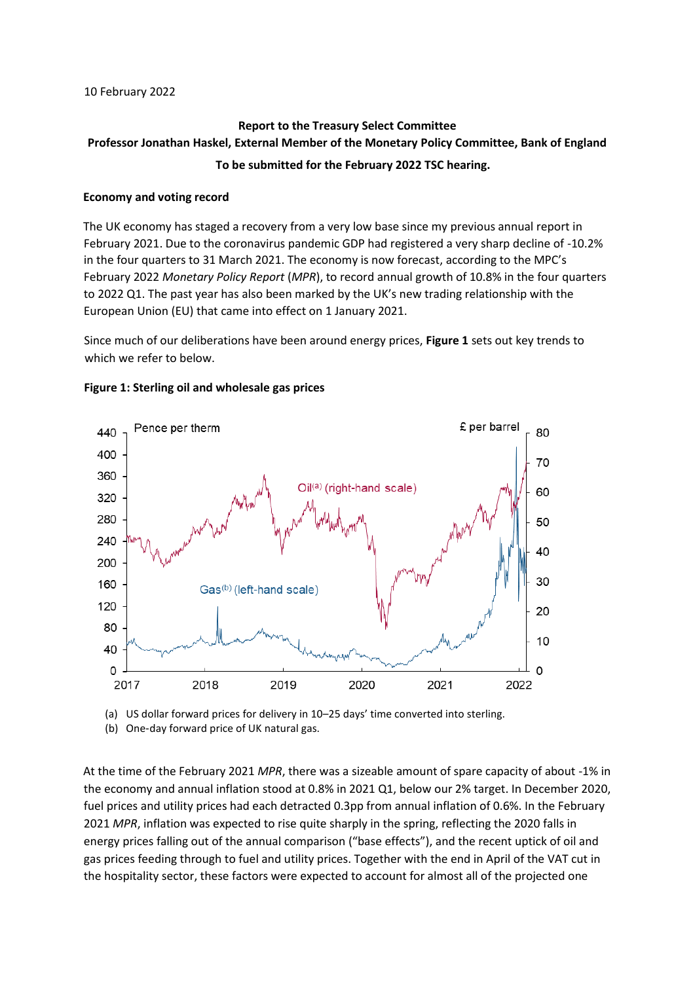# **Report to the Treasury Select Committee Professor Jonathan Haskel, External Member of the Monetary Policy Committee, Bank of England To be submitted for the February 2022 TSC hearing.**

## **Economy and voting record**

The UK economy has staged a recovery from a very low base since my previous annual report in February 2021. Due to the coronavirus pandemic GDP had registered a very sharp decline of -10.2% in the four quarters to 31 March 2021. The economy is now forecast, according to the MPC's February 2022 *Monetary Policy Report* (*MPR*), to record annual growth of 10.8% in the four quarters to 2022 Q1. The past year has also been marked by the UK's new trading relationship with the European Union (EU) that came into effect on 1 January 2021.

Since much of our deliberations have been around energy prices, **Figure 1** sets out key trends to which we refer to below.



#### **Figure 1: Sterling oil and wholesale gas prices**

(a) US dollar forward prices for delivery in 10–25 days' time converted into sterling.

(b) One-day forward price of UK natural gas.

At the time of the February 2021 *MPR*, there was a sizeable amount of spare capacity of about -1% in the economy and annual inflation stood at 0.8% in 2021 Q1, below our 2% target. In December 2020, fuel prices and utility prices had each detracted 0.3pp from annual inflation of 0.6%. In the February 2021 *MPR*, inflation was expected to rise quite sharply in the spring, reflecting the 2020 falls in energy prices falling out of the annual comparison ("base effects"), and the recent uptick of oil and gas prices feeding through to fuel and utility prices. Together with the end in April of the VAT cut in the hospitality sector, these factors were expected to account for almost all of the projected one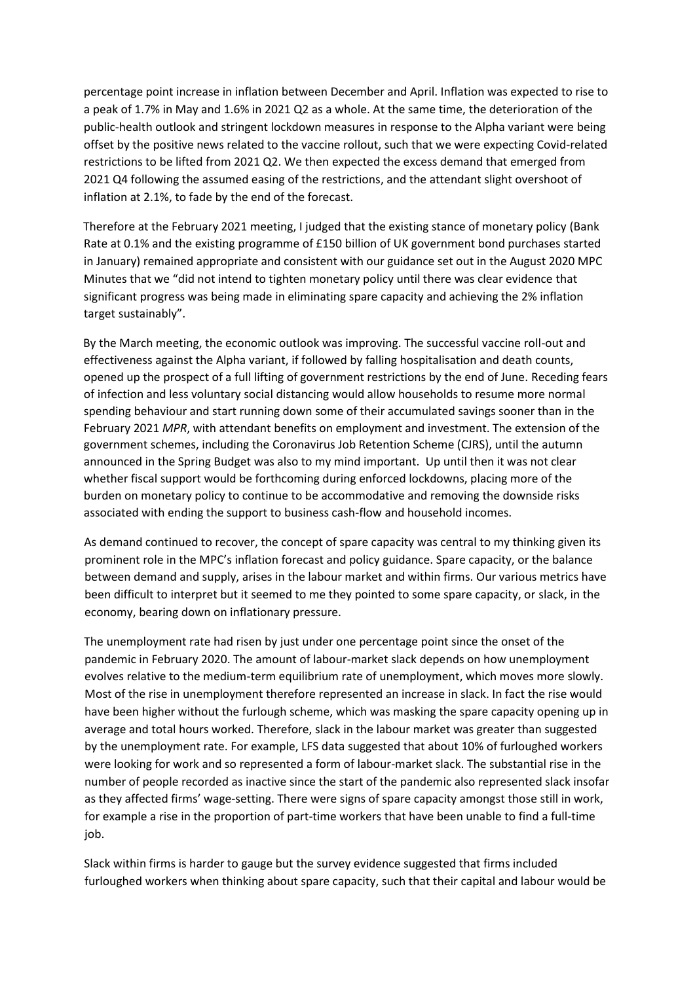percentage point increase in inflation between December and April. Inflation was expected to rise to a peak of 1.7% in May and 1.6% in 2021 Q2 as a whole. At the same time, the deterioration of the public-health outlook and stringent lockdown measures in response to the Alpha variant were being offset by the positive news related to the vaccine rollout, such that we were expecting Covid-related restrictions to be lifted from 2021 Q2. We then expected the excess demand that emerged from 2021 Q4 following the assumed easing of the restrictions, and the attendant slight overshoot of inflation at 2.1%, to fade by the end of the forecast.

Therefore at the February 2021 meeting, I judged that the existing stance of monetary policy (Bank Rate at 0.1% and the existing programme of £150 billion of UK government bond purchases started in January) remained appropriate and consistent with our guidance set out in the August 2020 MPC Minutes that we "did not intend to tighten monetary policy until there was clear evidence that significant progress was being made in eliminating spare capacity and achieving the 2% inflation target sustainably".

By the March meeting, the economic outlook was improving. The successful vaccine roll-out and effectiveness against the Alpha variant, if followed by falling hospitalisation and death counts, opened up the prospect of a full lifting of government restrictions by the end of June. Receding fears of infection and less voluntary social distancing would allow households to resume more normal spending behaviour and start running down some of their accumulated savings sooner than in the February 2021 *MPR*, with attendant benefits on employment and investment. The extension of the government schemes, including the Coronavirus Job Retention Scheme (CJRS), until the autumn announced in the Spring Budget was also to my mind important. Up until then it was not clear whether fiscal support would be forthcoming during enforced lockdowns, placing more of the burden on monetary policy to continue to be accommodative and removing the downside risks associated with ending the support to business cash-flow and household incomes.

As demand continued to recover, the concept of spare capacity was central to my thinking given its prominent role in the MPC's inflation forecast and policy guidance. Spare capacity, or the balance between demand and supply, arises in the labour market and within firms. Our various metrics have been difficult to interpret but it seemed to me they pointed to some spare capacity, or slack, in the economy, bearing down on inflationary pressure.

The unemployment rate had risen by just under one percentage point since the onset of the pandemic in February 2020. The amount of labour-market slack depends on how unemployment evolves relative to the medium-term equilibrium rate of unemployment, which moves more slowly. Most of the rise in unemployment therefore represented an increase in slack. In fact the rise would have been higher without the furlough scheme, which was masking the spare capacity opening up in average and total hours worked. Therefore, slack in the labour market was greater than suggested by the unemployment rate. For example, LFS data suggested that about 10% of furloughed workers were looking for work and so represented a form of labour-market slack. The substantial rise in the number of people recorded as inactive since the start of the pandemic also represented slack insofar as they affected firms' wage-setting. There were signs of spare capacity amongst those still in work, for example a rise in the proportion of part-time workers that have been unable to find a full-time job.

Slack within firms is harder to gauge but the survey evidence suggested that firms included furloughed workers when thinking about spare capacity, such that their capital and labour would be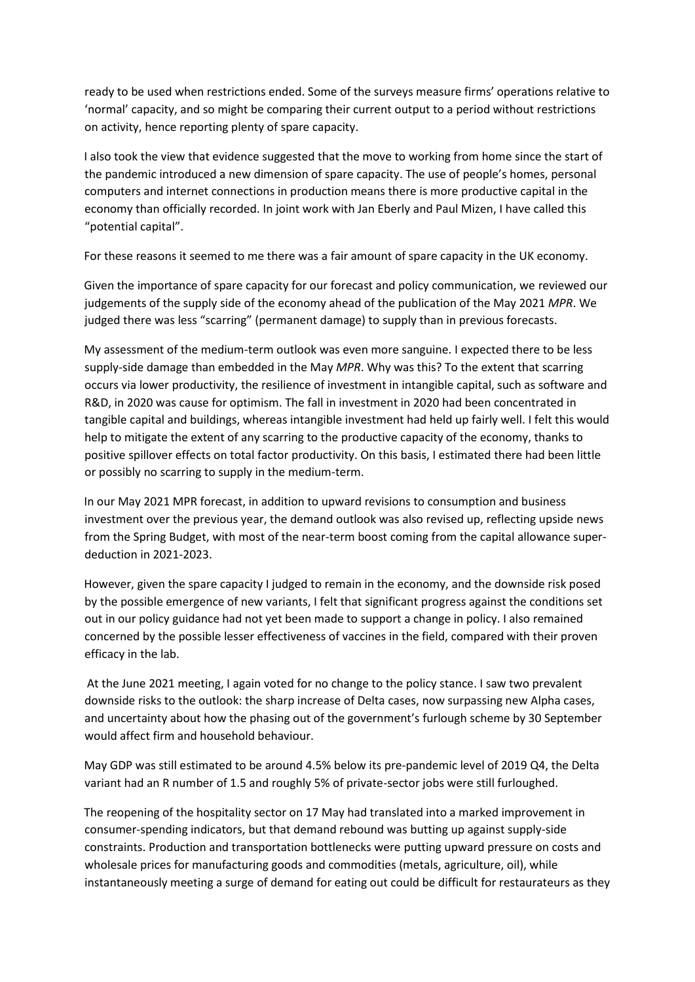ready to be used when restrictions ended. Some of the surveys measure firms' operations relative to 'normal' capacity, and so might be comparing their current output to a period without restrictions on activity, hence reporting plenty of spare capacity.

I also took the view that evidence suggested that the move to working from home since the start of the pandemic introduced a new dimension of spare capacity. The use of people's homes, personal computers and internet connections in production means there is more productive capital in the economy than officially recorded. In joint work with Jan Eberly and Paul Mizen, I have called this "potential capital".

For these reasons it seemed to me there was a fair amount of spare capacity in the UK economy.

Given the importance of spare capacity for our forecast and policy communication, we reviewed our judgements of the supply side of the economy ahead of the publication of the May 2021 *MPR*. We judged there was less "scarring" (permanent damage) to supply than in previous forecasts.

My assessment of the medium-term outlook was even more sanguine. I expected there to be less supply-side damage than embedded in the May *MPR*. Why was this? To the extent that scarring occurs via lower productivity, the resilience of investment in intangible capital, such as software and R&D, in 2020 was cause for optimism. The fall in investment in 2020 had been concentrated in tangible capital and buildings, whereas intangible investment had held up fairly well. I felt this would help to mitigate the extent of any scarring to the productive capacity of the economy, thanks to positive spillover effects on total factor productivity. On this basis, I estimated there had been little or possibly no scarring to supply in the medium-term.

In our May 2021 MPR forecast, in addition to upward revisions to consumption and business investment over the previous year, the demand outlook was also revised up, reflecting upside news from the Spring Budget, with most of the near-term boost coming from the capital allowance superdeduction in 2021-2023.

However, given the spare capacity I judged to remain in the economy, and the downside risk posed by the possible emergence of new variants, I felt that significant progress against the conditions set out in our policy guidance had not yet been made to support a change in policy. I also remained concerned by the possible lesser effectiveness of vaccines in the field, compared with their proven efficacy in the lab.

At the June 2021 meeting, I again voted for no change to the policy stance. I saw two prevalent downside risks to the outlook: the sharp increase of Delta cases, now surpassing new Alpha cases, and uncertainty about how the phasing out of the government's furlough scheme by 30 September would affect firm and household behaviour.

May GDP was still estimated to be around 4.5% below its pre-pandemic level of 2019 Q4, the Delta variant had an R number of 1.5 and roughly 5% of private-sector jobs were still furloughed.

The reopening of the hospitality sector on 17 May had translated into a marked improvement in consumer-spending indicators, but that demand rebound was butting up against supply-side constraints. Production and transportation bottlenecks were putting upward pressure on costs and wholesale prices for manufacturing goods and commodities (metals, agriculture, oil), while instantaneously meeting a surge of demand for eating out could be difficult for restaurateurs as they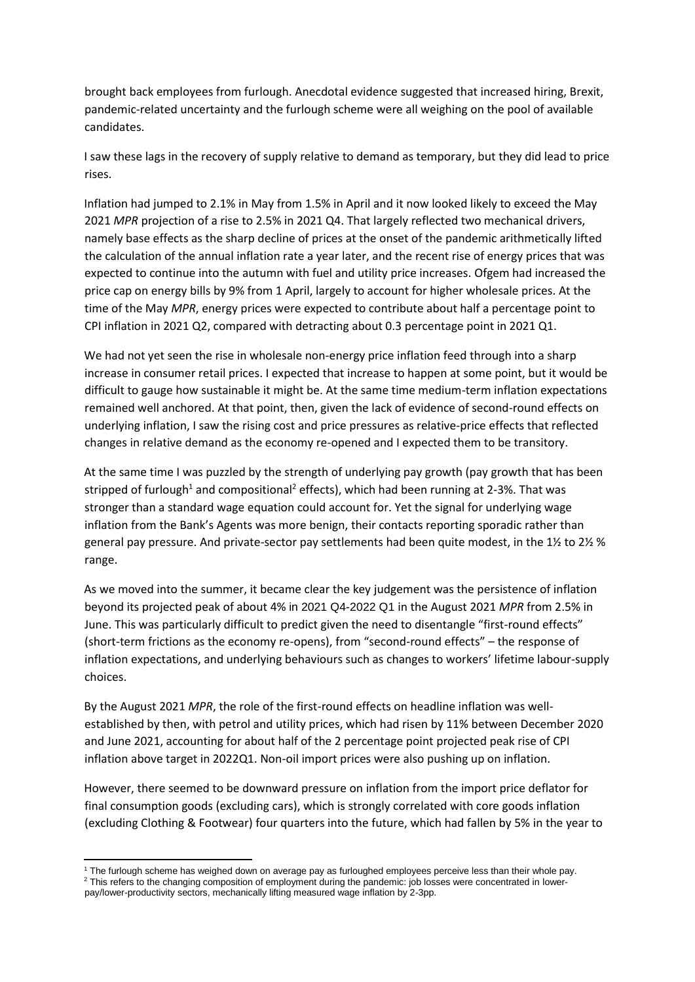brought back employees from furlough. Anecdotal evidence suggested that increased hiring, Brexit, pandemic-related uncertainty and the furlough scheme were all weighing on the pool of available candidates.

I saw these lags in the recovery of supply relative to demand as temporary, but they did lead to price rises.

Inflation had jumped to 2.1% in May from 1.5% in April and it now looked likely to exceed the May 2021 *MPR* projection of a rise to 2.5% in 2021 Q4. That largely reflected two mechanical drivers, namely base effects as the sharp decline of prices at the onset of the pandemic arithmetically lifted the calculation of the annual inflation rate a year later, and the recent rise of energy prices that was expected to continue into the autumn with fuel and utility price increases. Ofgem had increased the price cap on energy bills by 9% from 1 April, largely to account for higher wholesale prices. At the time of the May *MPR*, energy prices were expected to contribute about half a percentage point to CPI inflation in 2021 Q2, compared with detracting about 0.3 percentage point in 2021 Q1.

We had not yet seen the rise in wholesale non-energy price inflation feed through into a sharp increase in consumer retail prices. I expected that increase to happen at some point, but it would be difficult to gauge how sustainable it might be. At the same time medium-term inflation expectations remained well anchored. At that point, then, given the lack of evidence of second-round effects on underlying inflation, I saw the rising cost and price pressures as relative-price effects that reflected changes in relative demand as the economy re-opened and I expected them to be transitory.

At the same time I was puzzled by the strength of underlying pay growth (pay growth that has been stripped of furlough<sup>1</sup> and compositional<sup>2</sup> effects), which had been running at 2-3%. That was stronger than a standard wage equation could account for. Yet the signal for underlying wage inflation from the Bank's Agents was more benign, their contacts reporting sporadic rather than general pay pressure. And private-sector pay settlements had been quite modest, in the 1½ to 2½ % range.

As we moved into the summer, it became clear the key judgement was the persistence of inflation beyond its projected peak of about 4% in 2021 Q4-2022 Q1 in the August 2021 *MPR* from 2.5% in June. This was particularly difficult to predict given the need to disentangle "first-round effects" (short-term frictions as the economy re-opens), from "second-round effects" – the response of inflation expectations, and underlying behaviours such as changes to workers' lifetime labour-supply choices.

By the August 2021 *MPR*, the role of the first-round effects on headline inflation was wellestablished by then, with petrol and utility prices, which had risen by 11% between December 2020 and June 2021, accounting for about half of the 2 percentage point projected peak rise of CPI inflation above target in 2022Q1. Non-oil import prices were also pushing up on inflation.

However, there seemed to be downward pressure on inflation from the import price deflator for final consumption goods (excluding cars), which is strongly correlated with core goods inflation (excluding Clothing & Footwear) four quarters into the future, which had fallen by 5% in the year to

**<sup>.</sup>** <sup>1</sup> The furlough scheme has weighed down on average pay as furloughed employees perceive less than their whole pay. <sup>2</sup> This refers to the changing composition of employment during the pandemic: job losses were concentrated in lower-

pay/lower-productivity sectors, mechanically lifting measured wage inflation by 2-3pp.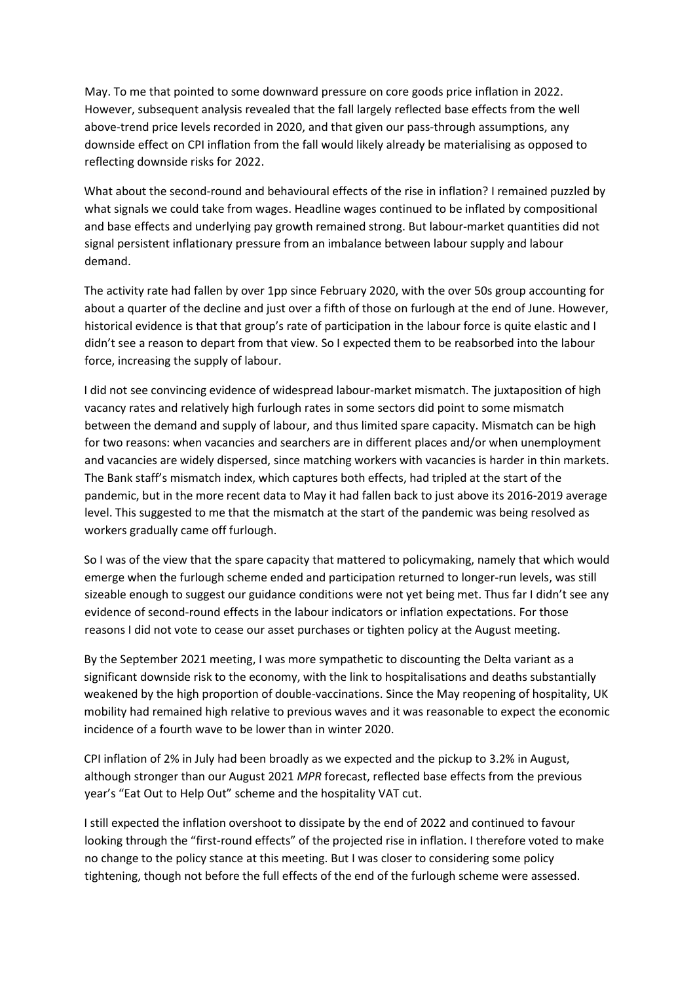May. To me that pointed to some downward pressure on core goods price inflation in 2022. However, subsequent analysis revealed that the fall largely reflected base effects from the well above-trend price levels recorded in 2020, and that given our pass-through assumptions, any downside effect on CPI inflation from the fall would likely already be materialising as opposed to reflecting downside risks for 2022.

What about the second-round and behavioural effects of the rise in inflation? I remained puzzled by what signals we could take from wages. Headline wages continued to be inflated by compositional and base effects and underlying pay growth remained strong. But labour-market quantities did not signal persistent inflationary pressure from an imbalance between labour supply and labour demand.

The activity rate had fallen by over 1pp since February 2020, with the over 50s group accounting for about a quarter of the decline and just over a fifth of those on furlough at the end of June. However, historical evidence is that that group's rate of participation in the labour force is quite elastic and I didn't see a reason to depart from that view. So I expected them to be reabsorbed into the labour force, increasing the supply of labour.

I did not see convincing evidence of widespread labour-market mismatch. The juxtaposition of high vacancy rates and relatively high furlough rates in some sectors did point to some mismatch between the demand and supply of labour, and thus limited spare capacity. Mismatch can be high for two reasons: when vacancies and searchers are in different places and/or when unemployment and vacancies are widely dispersed, since matching workers with vacancies is harder in thin markets. The Bank staff's mismatch index, which captures both effects, had tripled at the start of the pandemic, but in the more recent data to May it had fallen back to just above its 2016-2019 average level. This suggested to me that the mismatch at the start of the pandemic was being resolved as workers gradually came off furlough.

So I was of the view that the spare capacity that mattered to policymaking, namely that which would emerge when the furlough scheme ended and participation returned to longer-run levels, was still sizeable enough to suggest our guidance conditions were not yet being met. Thus far I didn't see any evidence of second-round effects in the labour indicators or inflation expectations. For those reasons I did not vote to cease our asset purchases or tighten policy at the August meeting.

By the September 2021 meeting, I was more sympathetic to discounting the Delta variant as a significant downside risk to the economy, with the link to hospitalisations and deaths substantially weakened by the high proportion of double-vaccinations. Since the May reopening of hospitality, UK mobility had remained high relative to previous waves and it was reasonable to expect the economic incidence of a fourth wave to be lower than in winter 2020.

CPI inflation of 2% in July had been broadly as we expected and the pickup to 3.2% in August, although stronger than our August 2021 *MPR* forecast, reflected base effects from the previous year's "Eat Out to Help Out" scheme and the hospitality VAT cut.

I still expected the inflation overshoot to dissipate by the end of 2022 and continued to favour looking through the "first-round effects" of the projected rise in inflation. I therefore voted to make no change to the policy stance at this meeting. But I was closer to considering some policy tightening, though not before the full effects of the end of the furlough scheme were assessed.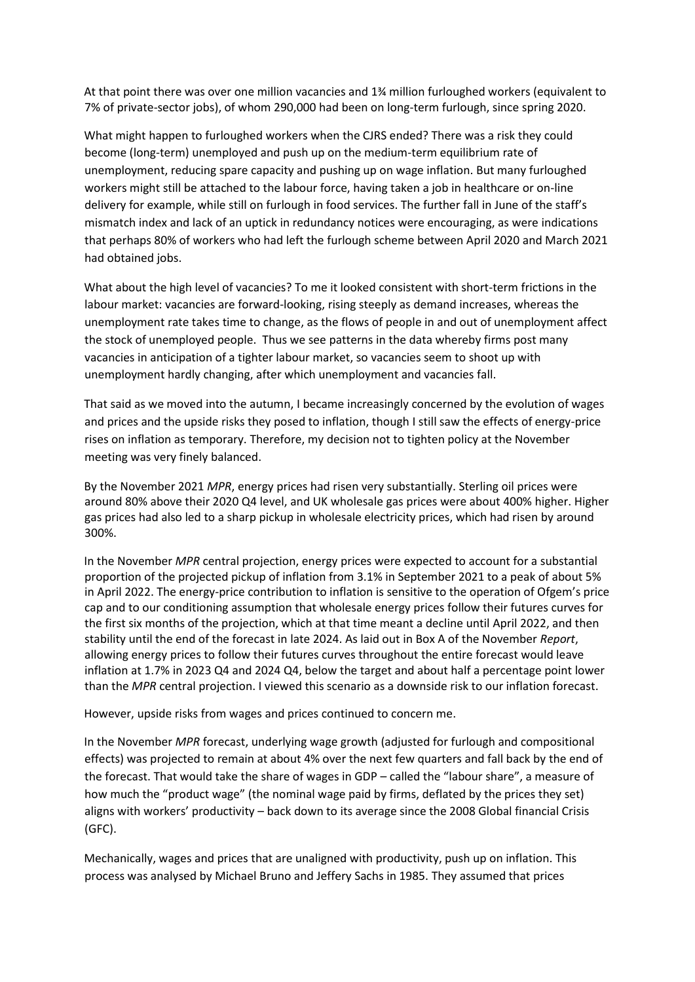At that point there was over one million vacancies and 1¾ million furloughed workers (equivalent to 7% of private-sector jobs), of whom 290,000 had been on long-term furlough, since spring 2020.

What might happen to furloughed workers when the CJRS ended? There was a risk they could become (long-term) unemployed and push up on the medium-term equilibrium rate of unemployment, reducing spare capacity and pushing up on wage inflation. But many furloughed workers might still be attached to the labour force, having taken a job in healthcare or on-line delivery for example, while still on furlough in food services. The further fall in June of the staff's mismatch index and lack of an uptick in redundancy notices were encouraging, as were indications that perhaps 80% of workers who had left the furlough scheme between April 2020 and March 2021 had obtained jobs.

What about the high level of vacancies? To me it looked consistent with short-term frictions in the labour market: vacancies are forward-looking, rising steeply as demand increases, whereas the unemployment rate takes time to change, as the flows of people in and out of unemployment affect the stock of unemployed people. Thus we see patterns in the data whereby firms post many vacancies in anticipation of a tighter labour market, so vacancies seem to shoot up with unemployment hardly changing, after which unemployment and vacancies fall.

That said as we moved into the autumn, I became increasingly concerned by the evolution of wages and prices and the upside risks they posed to inflation, though I still saw the effects of energy-price rises on inflation as temporary. Therefore, my decision not to tighten policy at the November meeting was very finely balanced.

By the November 2021 *MPR*, energy prices had risen very substantially. Sterling oil prices were around 80% above their 2020 Q4 level, and UK wholesale gas prices were about 400% higher. Higher gas prices had also led to a sharp pickup in wholesale electricity prices, which had risen by around 300%.

In the November *MPR* central projection, energy prices were expected to account for a substantial proportion of the projected pickup of inflation from 3.1% in September 2021 to a peak of about 5% in April 2022. The energy-price contribution to inflation is sensitive to the operation of Ofgem's price cap and to our conditioning assumption that wholesale energy prices follow their futures curves for the first six months of the projection, which at that time meant a decline until April 2022, and then stability until the end of the forecast in late 2024. As laid out in Box A of the November *Report*, allowing energy prices to follow their futures curves throughout the entire forecast would leave inflation at 1.7% in 2023 Q4 and 2024 Q4, below the target and about half a percentage point lower than the *MPR* central projection. I viewed this scenario as a downside risk to our inflation forecast.

However, upside risks from wages and prices continued to concern me.

In the November *MPR* forecast, underlying wage growth (adjusted for furlough and compositional effects) was projected to remain at about 4% over the next few quarters and fall back by the end of the forecast. That would take the share of wages in GDP – called the "labour share", a measure of how much the "product wage" (the nominal wage paid by firms, deflated by the prices they set) aligns with workers' productivity – back down to its average since the 2008 Global financial Crisis (GFC).

Mechanically, wages and prices that are unaligned with productivity, push up on inflation. This process was analysed by Michael Bruno and Jeffery Sachs in 1985. They assumed that prices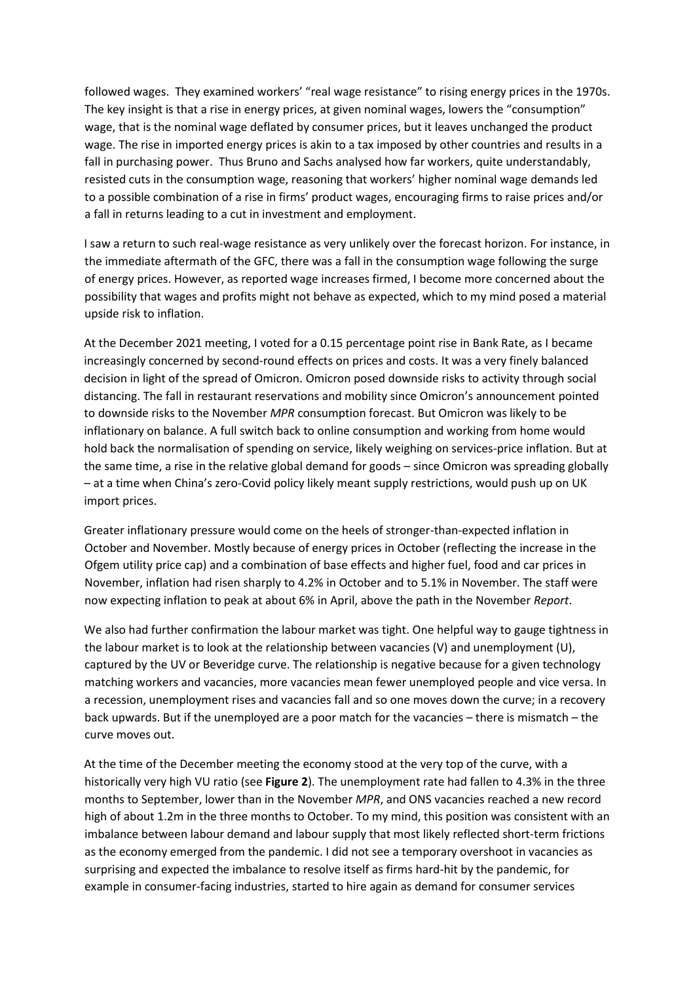followed wages. They examined workers' "real wage resistance" to rising energy prices in the 1970s. The key insight is that a rise in energy prices, at given nominal wages, lowers the "consumption" wage, that is the nominal wage deflated by consumer prices, but it leaves unchanged the product wage. The rise in imported energy prices is akin to a tax imposed by other countries and results in a fall in purchasing power. Thus Bruno and Sachs analysed how far workers, quite understandably, resisted cuts in the consumption wage, reasoning that workers' higher nominal wage demands led to a possible combination of a rise in firms' product wages, encouraging firms to raise prices and/or a fall in returns leading to a cut in investment and employment.

I saw a return to such real-wage resistance as very unlikely over the forecast horizon. For instance, in the immediate aftermath of the GFC, there was a fall in the consumption wage following the surge of energy prices. However, as reported wage increases firmed, I become more concerned about the possibility that wages and profits might not behave as expected, which to my mind posed a material upside risk to inflation.

At the December 2021 meeting, I voted for a 0.15 percentage point rise in Bank Rate, as I became increasingly concerned by second-round effects on prices and costs. It was a very finely balanced decision in light of the spread of Omicron. Omicron posed downside risks to activity through social distancing. The fall in restaurant reservations and mobility since Omicron's announcement pointed to downside risks to the November *MPR* consumption forecast. But Omicron was likely to be inflationary on balance. A full switch back to online consumption and working from home would hold back the normalisation of spending on service, likely weighing on services-price inflation. But at the same time, a rise in the relative global demand for goods – since Omicron was spreading globally – at a time when China's zero-Covid policy likely meant supply restrictions, would push up on UK import prices.

Greater inflationary pressure would come on the heels of stronger-than-expected inflation in October and November. Mostly because of energy prices in October (reflecting the increase in the Ofgem utility price cap) and a combination of base effects and higher fuel, food and car prices in November, inflation had risen sharply to 4.2% in October and to 5.1% in November. The staff were now expecting inflation to peak at about 6% in April, above the path in the November *Report*.

We also had further confirmation the labour market was tight. One helpful way to gauge tightness in the labour market is to look at the relationship between vacancies (V) and unemployment (U), captured by the UV or Beveridge curve. The relationship is negative because for a given technology matching workers and vacancies, more vacancies mean fewer unemployed people and vice versa. In a recession, unemployment rises and vacancies fall and so one moves down the curve; in a recovery back upwards. But if the unemployed are a poor match for the vacancies – there is mismatch – the curve moves out.

At the time of the December meeting the economy stood at the very top of the curve, with a historically very high VU ratio (see **Figure 2**). The unemployment rate had fallen to 4.3% in the three months to September, lower than in the November *MPR*, and ONS vacancies reached a new record high of about 1.2m in the three months to October. To my mind, this position was consistent with an imbalance between labour demand and labour supply that most likely reflected short-term frictions as the economy emerged from the pandemic. I did not see a temporary overshoot in vacancies as surprising and expected the imbalance to resolve itself as firms hard-hit by the pandemic, for example in consumer-facing industries, started to hire again as demand for consumer services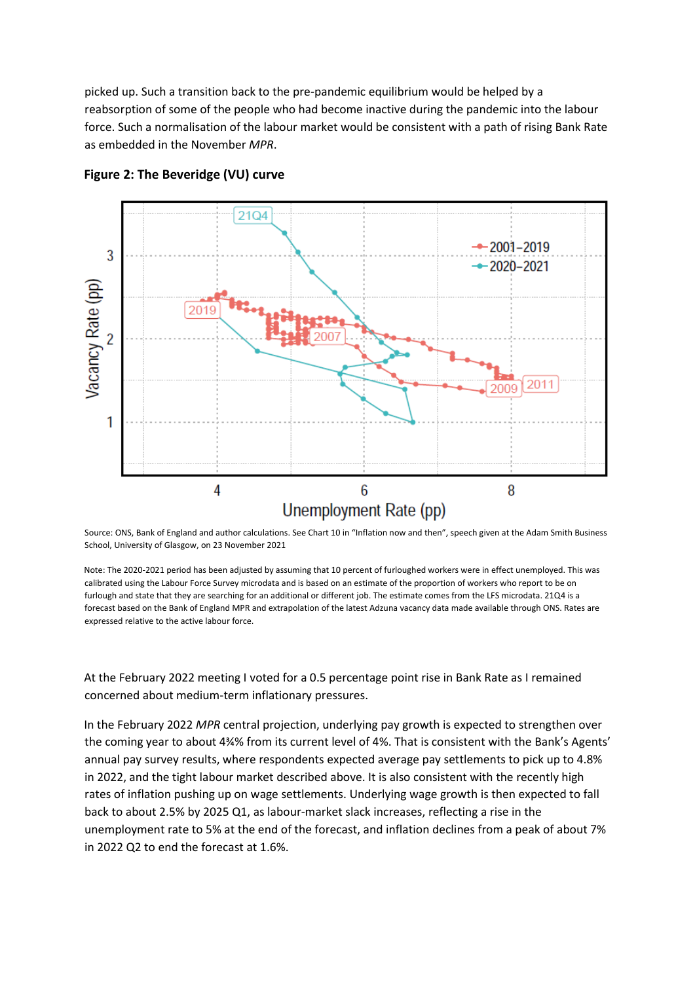picked up. Such a transition back to the pre-pandemic equilibrium would be helped by a reabsorption of some of the people who had become inactive during the pandemic into the labour force. Such a normalisation of the labour market would be consistent with a path of rising Bank Rate as embedded in the November *MPR*.



**Figure 2: The Beveridge (VU) curve**

Source: ONS, Bank of England and author calculations. See Chart 10 in "Inflation now and then", speech given at the Adam Smith Business School, University of Glasgow, on 23 November 2021

Note: The 2020-2021 period has been adjusted by assuming that 10 percent of furloughed workers were in effect unemployed. This was calibrated using the Labour Force Survey microdata and is based on an estimate of the proportion of workers who report to be on furlough and state that they are searching for an additional or different job. The estimate comes from the LFS microdata. 21Q4 is a forecast based on the Bank of England MPR and extrapolation of the latest Adzuna vacancy data made available through ONS. Rates are expressed relative to the active labour force.

At the February 2022 meeting I voted for a 0.5 percentage point rise in Bank Rate as I remained concerned about medium-term inflationary pressures.

In the February 2022 *MPR* central projection, underlying pay growth is expected to strengthen over the coming year to about 4¾% from its current level of 4%. That is consistent with the Bank's Agents' annual pay survey results, where respondents expected average pay settlements to pick up to 4.8% in 2022, and the tight labour market described above. It is also consistent with the recently high rates of inflation pushing up on wage settlements. Underlying wage growth is then expected to fall back to about 2.5% by 2025 Q1, as labour-market slack increases, reflecting a rise in the unemployment rate to 5% at the end of the forecast, and inflation declines from a peak of about 7% in 2022 Q2 to end the forecast at 1.6%.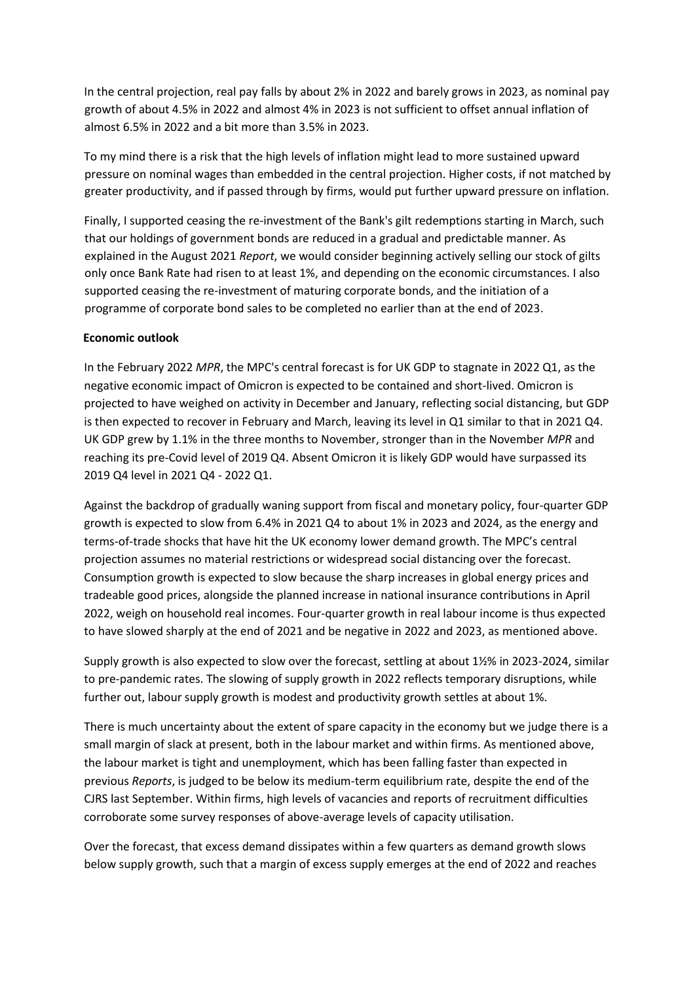In the central projection, real pay falls by about 2% in 2022 and barely grows in 2023, as nominal pay growth of about 4.5% in 2022 and almost 4% in 2023 is not sufficient to offset annual inflation of almost 6.5% in 2022 and a bit more than 3.5% in 2023.

To my mind there is a risk that the high levels of inflation might lead to more sustained upward pressure on nominal wages than embedded in the central projection. Higher costs, if not matched by greater productivity, and if passed through by firms, would put further upward pressure on inflation.

Finally, I supported ceasing the re-investment of the Bank's gilt redemptions starting in March, such that our holdings of government bonds are reduced in a gradual and predictable manner. As explained in the August 2021 *Report*, we would consider beginning actively selling our stock of gilts only once Bank Rate had risen to at least 1%, and depending on the economic circumstances. I also supported ceasing the re-investment of maturing corporate bonds, and the initiation of a programme of corporate bond sales to be completed no earlier than at the end of 2023.

## **Economic outlook**

In the February 2022 *MPR*, the MPC's central forecast is for UK GDP to stagnate in 2022 Q1, as the negative economic impact of Omicron is expected to be contained and short-lived. Omicron is projected to have weighed on activity in December and January, reflecting social distancing, but GDP is then expected to recover in February and March, leaving its level in Q1 similar to that in 2021 Q4. UK GDP grew by 1.1% in the three months to November, stronger than in the November *MPR* and reaching its pre-Covid level of 2019 Q4. Absent Omicron it is likely GDP would have surpassed its 2019 Q4 level in 2021 Q4 - 2022 Q1.

Against the backdrop of gradually waning support from fiscal and monetary policy, four-quarter GDP growth is expected to slow from 6.4% in 2021 Q4 to about 1% in 2023 and 2024, as the energy and terms-of-trade shocks that have hit the UK economy lower demand growth. The MPC's central projection assumes no material restrictions or widespread social distancing over the forecast. Consumption growth is expected to slow because the sharp increases in global energy prices and tradeable good prices, alongside the planned increase in national insurance contributions in April 2022, weigh on household real incomes. Four-quarter growth in real labour income is thus expected to have slowed sharply at the end of 2021 and be negative in 2022 and 2023, as mentioned above.

Supply growth is also expected to slow over the forecast, settling at about 1½% in 2023-2024, similar to pre-pandemic rates. The slowing of supply growth in 2022 reflects temporary disruptions, while further out, labour supply growth is modest and productivity growth settles at about 1%.

There is much uncertainty about the extent of spare capacity in the economy but we judge there is a small margin of slack at present, both in the labour market and within firms. As mentioned above, the labour market is tight and unemployment, which has been falling faster than expected in previous *Reports*, is judged to be below its medium-term equilibrium rate, despite the end of the CJRS last September. Within firms, high levels of vacancies and reports of recruitment difficulties corroborate some survey responses of above-average levels of capacity utilisation.

Over the forecast, that excess demand dissipates within a few quarters as demand growth slows below supply growth, such that a margin of excess supply emerges at the end of 2022 and reaches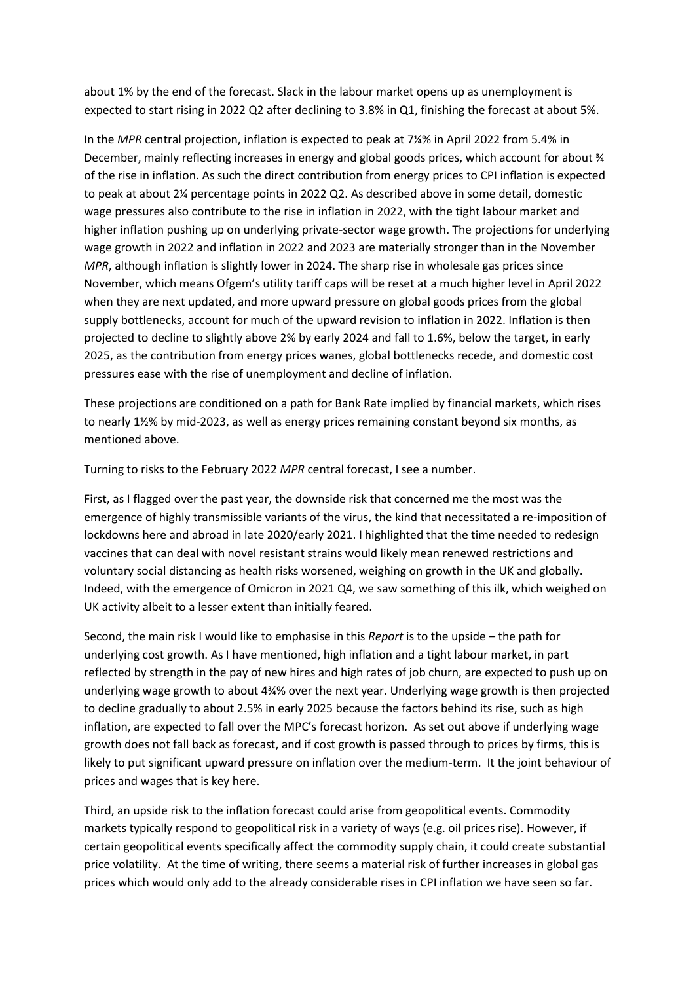about 1% by the end of the forecast. Slack in the labour market opens up as unemployment is expected to start rising in 2022 Q2 after declining to 3.8% in Q1, finishing the forecast at about 5%.

In the *MPR* central projection, inflation is expected to peak at 7¼% in April 2022 from 5.4% in December, mainly reflecting increases in energy and global goods prices, which account for about  $\mathcal{U}$ of the rise in inflation. As such the direct contribution from energy prices to CPI inflation is expected to peak at about 2¼ percentage points in 2022 Q2. As described above in some detail, domestic wage pressures also contribute to the rise in inflation in 2022, with the tight labour market and higher inflation pushing up on underlying private-sector wage growth. The projections for underlying wage growth in 2022 and inflation in 2022 and 2023 are materially stronger than in the November *MPR*, although inflation is slightly lower in 2024. The sharp rise in wholesale gas prices since November, which means Ofgem's utility tariff caps will be reset at a much higher level in April 2022 when they are next updated, and more upward pressure on global goods prices from the global supply bottlenecks, account for much of the upward revision to inflation in 2022. Inflation is then projected to decline to slightly above 2% by early 2024 and fall to 1.6%, below the target, in early 2025, as the contribution from energy prices wanes, global bottlenecks recede, and domestic cost pressures ease with the rise of unemployment and decline of inflation.

These projections are conditioned on a path for Bank Rate implied by financial markets, which rises to nearly 1½% by mid-2023, as well as energy prices remaining constant beyond six months, as mentioned above.

Turning to risks to the February 2022 *MPR* central forecast, I see a number.

First, as I flagged over the past year, the downside risk that concerned me the most was the emergence of highly transmissible variants of the virus, the kind that necessitated a re-imposition of lockdowns here and abroad in late 2020/early 2021. I highlighted that the time needed to redesign vaccines that can deal with novel resistant strains would likely mean renewed restrictions and voluntary social distancing as health risks worsened, weighing on growth in the UK and globally. Indeed, with the emergence of Omicron in 2021 Q4, we saw something of this ilk, which weighed on UK activity albeit to a lesser extent than initially feared.

Second, the main risk I would like to emphasise in this *Report* is to the upside – the path for underlying cost growth. As I have mentioned, high inflation and a tight labour market, in part reflected by strength in the pay of new hires and high rates of job churn, are expected to push up on underlying wage growth to about 4¾% over the next year. Underlying wage growth is then projected to decline gradually to about 2.5% in early 2025 because the factors behind its rise, such as high inflation, are expected to fall over the MPC's forecast horizon. As set out above if underlying wage growth does not fall back as forecast, and if cost growth is passed through to prices by firms, this is likely to put significant upward pressure on inflation over the medium-term. It the joint behaviour of prices and wages that is key here.

Third, an upside risk to the inflation forecast could arise from geopolitical events. Commodity markets typically respond to geopolitical risk in a variety of ways (e.g. oil prices rise). However, if certain geopolitical events specifically affect the commodity supply chain, it could create substantial price volatility. At the time of writing, there seems a material risk of further increases in global gas prices which would only add to the already considerable rises in CPI inflation we have seen so far.